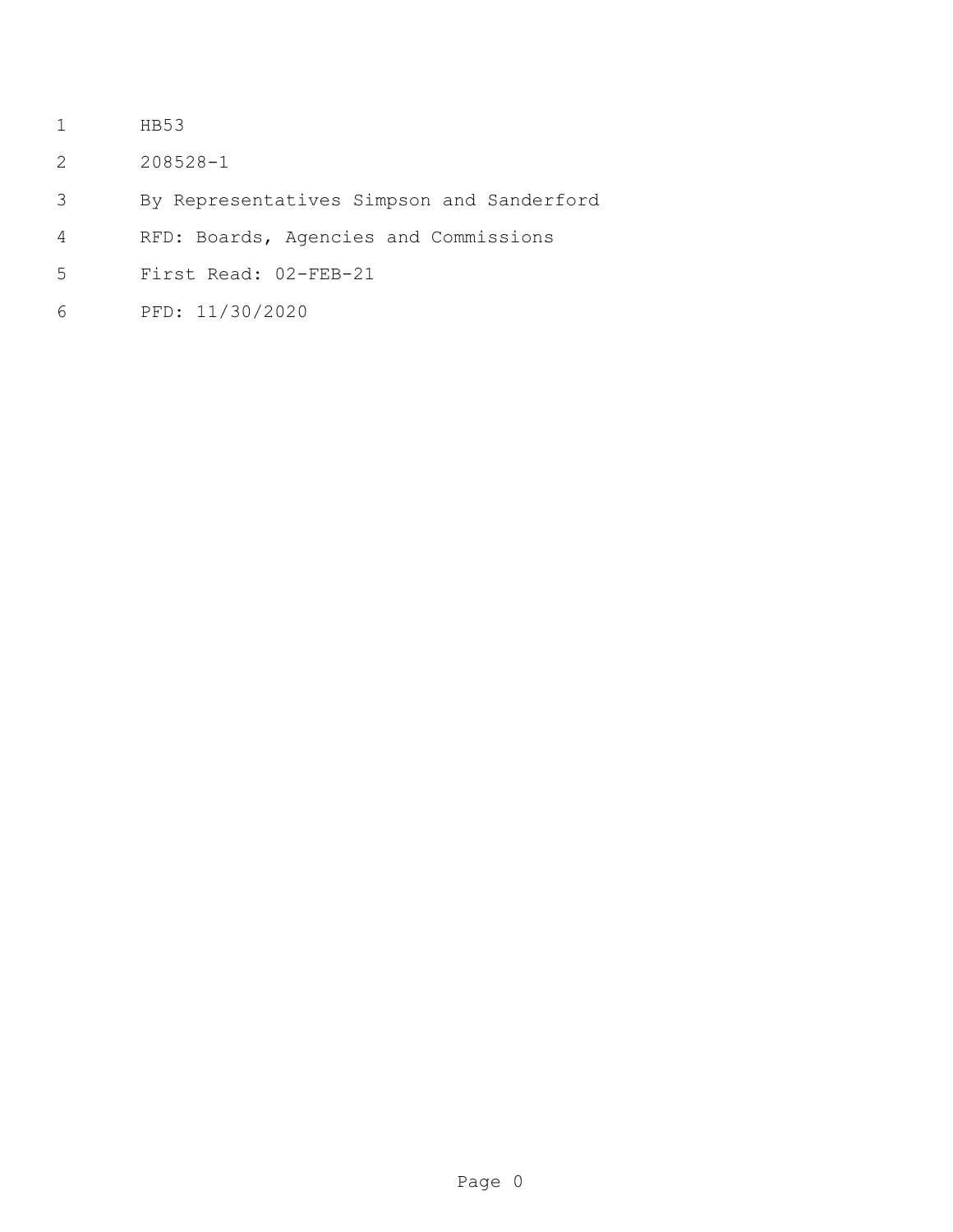- HB53
- 208528-1
- By Representatives Simpson and Sanderford
- RFD: Boards, Agencies and Commissions
- First Read: 02-FEB-21
- PFD: 11/30/2020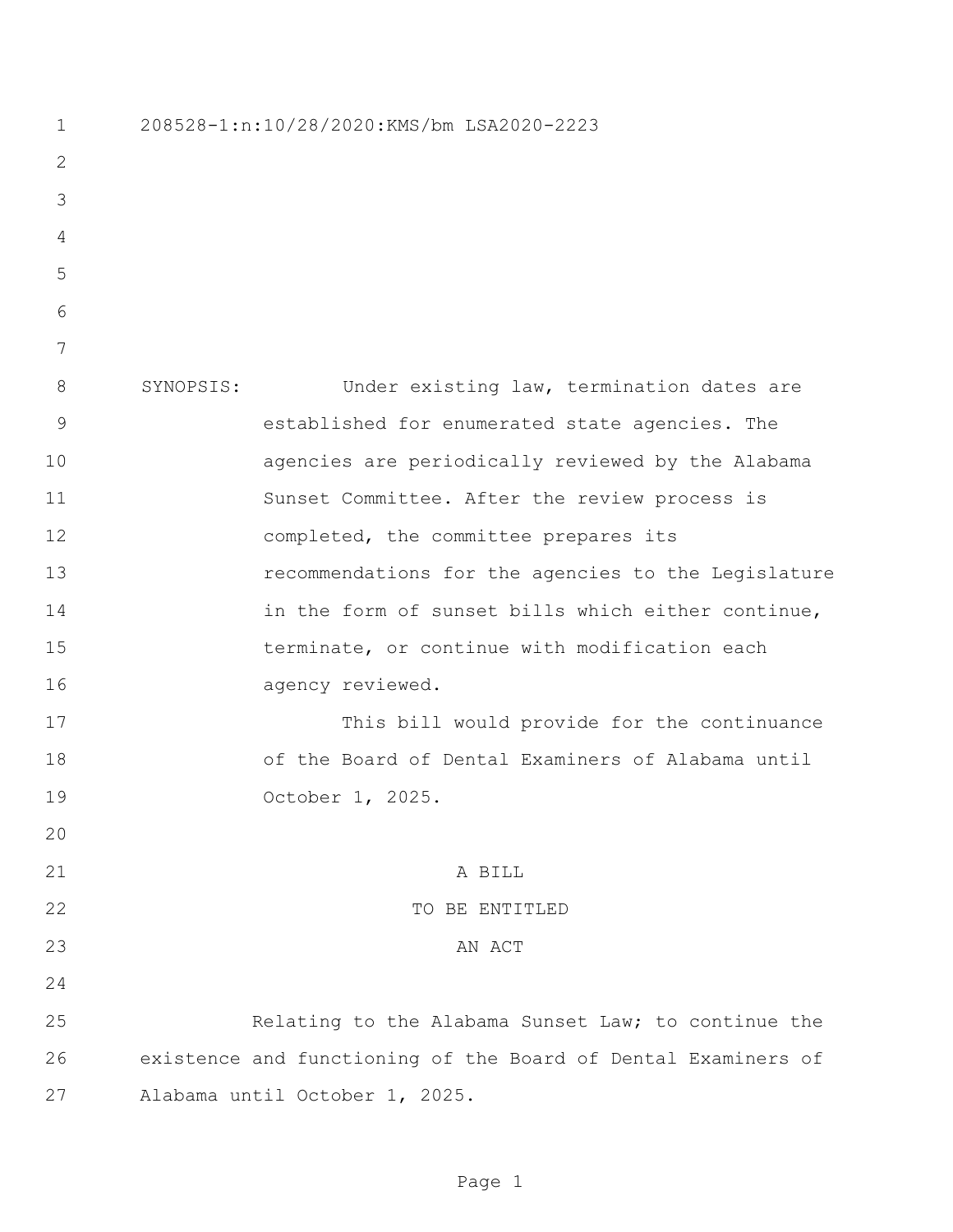| 1              | 208528-1:n:10/28/2020:KMS/bm LSA2020-2223                     |
|----------------|---------------------------------------------------------------|
| $\mathbf{2}$   |                                                               |
| 3              |                                                               |
| $\overline{4}$ |                                                               |
| 5              |                                                               |
| 6              |                                                               |
| 7              |                                                               |
| 8              | SYNOPSIS:<br>Under existing law, termination dates are        |
| $\mathcal{G}$  | established for enumerated state agencies. The                |
| 10             | agencies are periodically reviewed by the Alabama             |
| 11             | Sunset Committee. After the review process is                 |
| 12             | completed, the committee prepares its                         |
| 13             | recommendations for the agencies to the Legislature           |
| 14             | in the form of sunset bills which either continue,            |
| 15             | terminate, or continue with modification each                 |
| 16             | agency reviewed.                                              |
| 17             | This bill would provide for the continuance                   |
| 18             | of the Board of Dental Examiners of Alabama until             |
| 19             | October 1, 2025.                                              |
| 20             |                                                               |
| 21             | A BILL                                                        |
| 22             | TO BE ENTITLED                                                |
| 23             | AN ACT                                                        |
| 24             |                                                               |
| 25             | Relating to the Alabama Sunset Law; to continue the           |
| 26             | existence and functioning of the Board of Dental Examiners of |
| 27             | Alabama until October 1, 2025.                                |